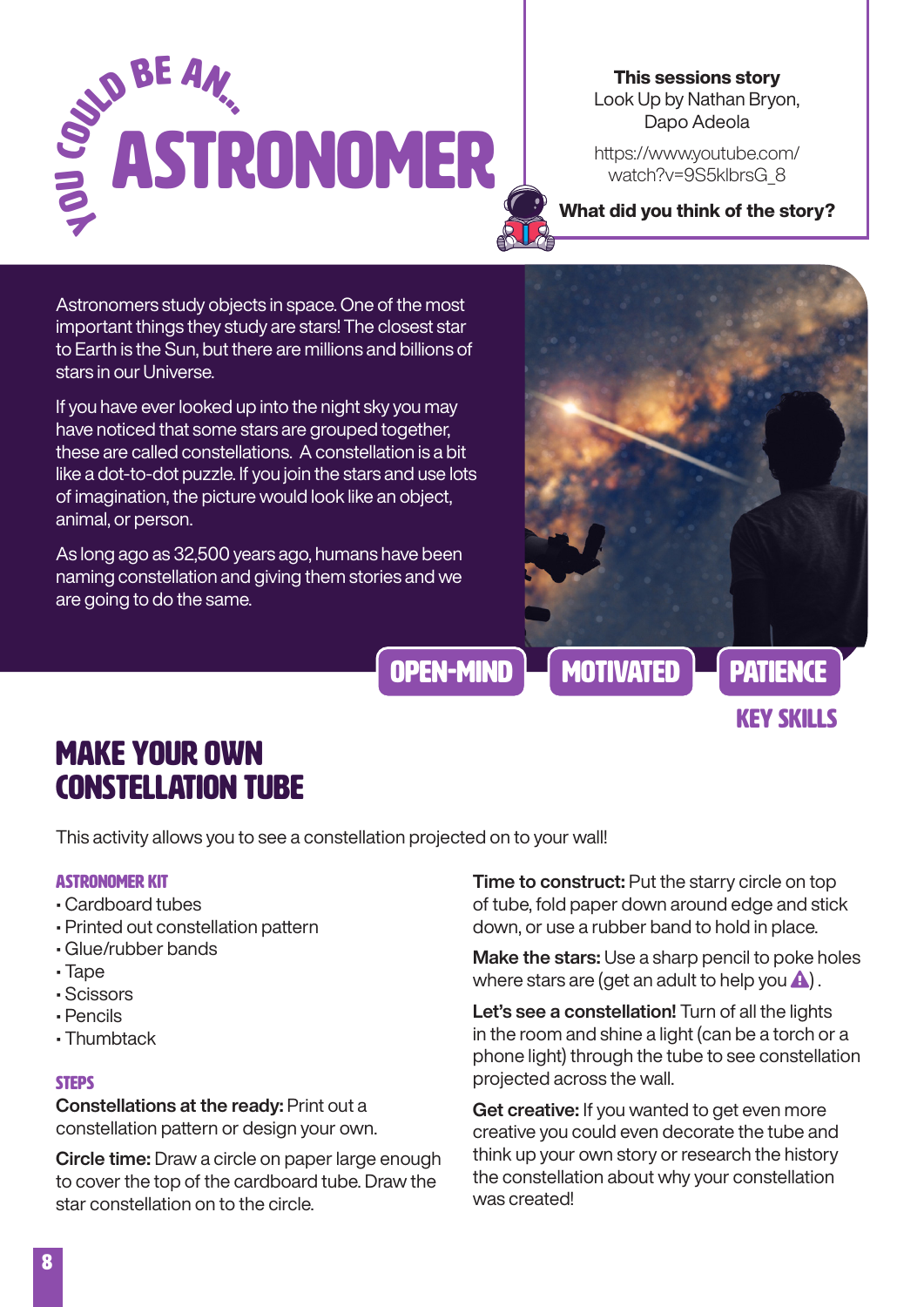

This sessions story Look Up by Nathan Bryon, Dapo Adeola

https://www.youtube.com/ watch?v=9S5klbrsG\_8

What did you think of the story?

Astronomers study objects in space. One of the most important things they study are stars! The closest star to Earth is the Sun, but there are millions and billions of stars in our Universe.

If you have ever looked up into the night sky you may have noticed that some stars are grouped together, these are called constellations. A constellation is a bit like a dot-to-dot puzzle. If you join the stars and use lots of imagination, the picture would look like an object, animal, or person.

As long ago as 32,500 years ago, humans have been naming constellation and giving them stories and we are going to do the same.



Key skills

Make your own constellation tube

This activity allows you to see a constellation projected on to your wall!

#### astronomer Kit

- Cardboard tubes
- Printed out constellation pattern
- Glue/rubber bands
- Tape
- Scissors
- Pencils
- Thumbtack

#### **STEPS**

Constellations at the ready: Print out a constellation pattern or design your own.

Circle time: Draw a circle on paper large enough to cover the top of the cardboard tube. Draw the star constellation on to the circle.

**Time to construct:** Put the starry circle on top of tube, fold paper down around edge and stick down, or use a rubber band to hold in place.

Make the stars: Use a sharp pencil to poke holes where stars are (get an adult to help you  $\triangle$ ).

Let's see a constellation! Turn of all the lights in the room and shine a light (can be a torch or a phone light) through the tube to see constellation projected across the wall.

Get creative: If you wanted to get even more creative you could even decorate the tube and think up your own story or research the history the constellation about why your constellation was created!